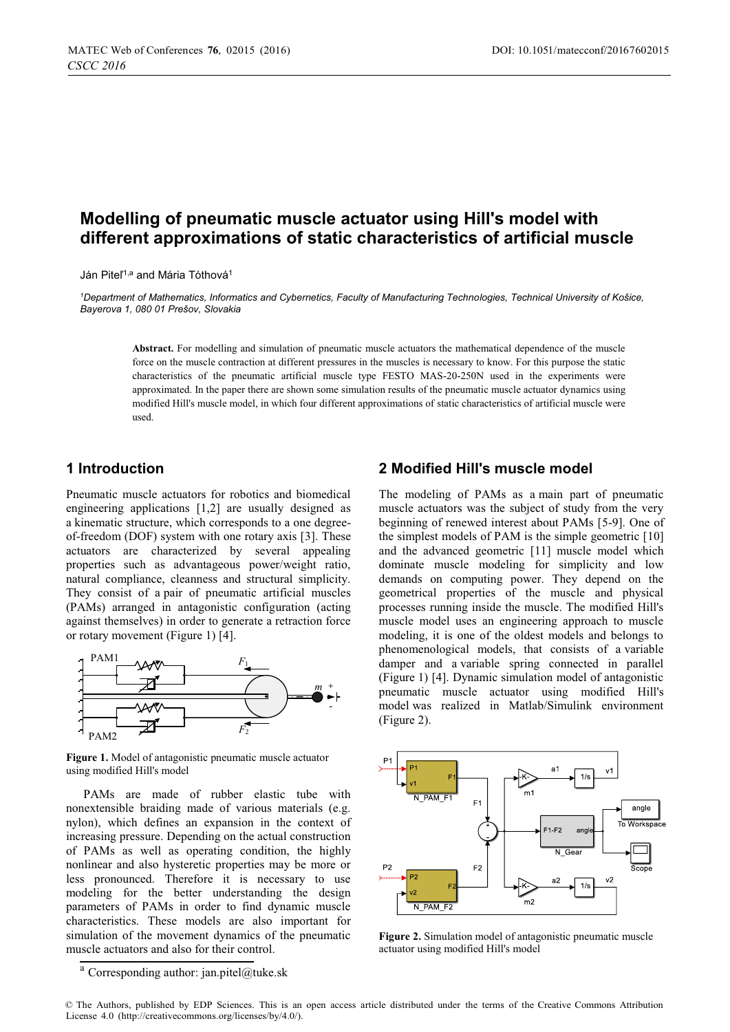# **Modelling of pneumatic muscle actuator using Hill's model with different approximations of static characteristics of artificial muscle**

Ján Piteľ<sup>1,a</sup> and Mária Tóthová<sup>1</sup>

*1 Department of Mathematics, Informatics and Cybernetics, Faculty of Manufacturing Technologies, Technical University of Košice, Bayerova 1, 080 01 Prešov, Slovakia*

**Abstract.** For modelling and simulation of pneumatic muscle actuators the mathematical dependence of the muscle force on the muscle contraction at different pressures in the muscles is necessary to know. For this purpose the static characteristics of the pneumatic artificial muscle type FESTO MAS-20-250N used in the experiments were approximated. In the paper there are shown some simulation results of the pneumatic muscle actuator dynamics using modified Hill's muscle model, in which four different approximations of static characteristics of artificial muscle were used.

### **1 Introduction**

Pneumatic muscle actuators for robotics and biomedical engineering applications [1,2] are usually designed as a kinematic structure, which corresponds to a one degreeof-freedom (DOF) system with one rotary axis [3]. These actuators are characterized by several appealing properties such as advantageous power/weight ratio, natural compliance, cleanness and structural simplicity. They consist of a pair of pneumatic artificial muscles (PAMs) arranged in antagonistic configuration (acting against themselves) in order to generate a retraction force or rotary movement (Figure 1) [4].



**Figure 1.** Model of antagonistic pneumatic muscle actuator using modified Hill's model

PAMs are made of rubber elastic tube with nonextensible braiding made of various materials (e.g. nylon), which defines an expansion in the context of increasing pressure. Depending on the actual construction of PAMs as well as operating condition, the highly nonlinear and also hysteretic properties may be more or less pronounced. Therefore it is necessary to use modeling for the better understanding the design parameters of PAMs in order to find dynamic muscle characteristics. These models are also important for simulation of the movement dynamics of the pneumatic muscle actuators and also for their control.

#### **2 Modified Hill's muscle model**

The modeling of PAMs as a main part of pneumatic muscle actuators was the subject of study from the very beginning of renewed interest about PAMs [5-9]. One of the simplest models of PAM is the simple geometric [10] and the advanced geometric [11] muscle model which dominate muscle modeling for simplicity and low demands on computing power. They depend on the geometrical properties of the muscle and physical processes running inside the muscle. The modified Hill's muscle model uses an engineering approach to muscle modeling, it is one of the oldest models and belongs to phenomenological models, that consists of a variable damper and a variable spring connected in parallel (Figure 1) [4]. Dynamic simulation model of antagonistic pneumatic muscle actuator using modified Hill's model was realized in Matlab/Simulink environment (Figure 2).



**Figure 2.** Simulation model of antagonistic pneumatic muscle actuator using modified Hill's model

<sup>a</sup> Corresponding author: jan.pitel@tuke.sk

<sup>©</sup> The Authors, published by EDP Sciences. This is an open access article distributed under the terms of the Creative Commons Attribution License 4.0 (http://creativecommons.org/licenses/by/4.0/).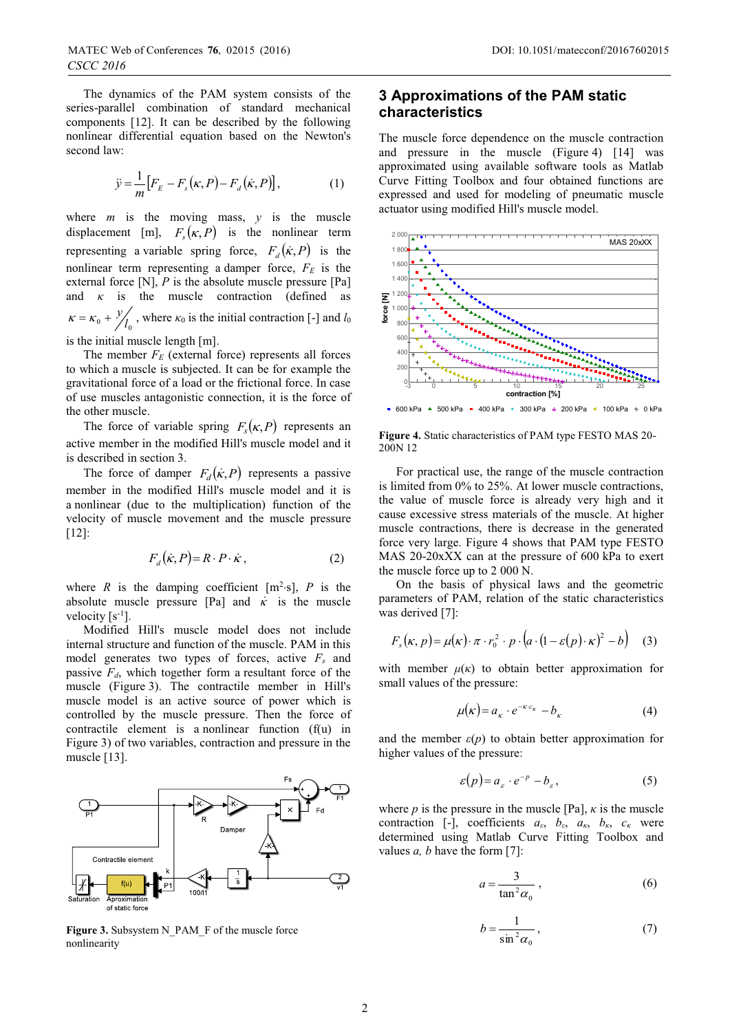The dynamics of the PAM system consists of the series-parallel combination of standard mechanical components [12]. It can be described by the following nonlinear differential equation based on the Newton's second law:

$$
\ddot{y} = \frac{1}{m} \left[ F_E - F_s(\kappa, P) - F_d(\dot{\kappa}, P) \right],\tag{1}
$$

where  $m$  is the moving mass,  $y$  is the muscle displacement [m],  $F_s(\kappa, P)$  is the nonlinear term representing a variable spring force,  $F_d(\vec{k}, P)$  is the nonlinear term representing a damper force,  $F_E$  is the external force [N], *P* is the absolute muscle pressure [Pa] and  $\kappa$  is the muscle contraction (defined as  $\kappa = \kappa_0 + \frac{y}{l_0}$ , where  $\kappa_0$  is the initial contraction [-] and *l*<sub>0</sub> is the initial muscle length [m].

The member  $F_E$  (external force) represents all forces to which a muscle is subjected. It can be for example the gravitational force of a load or the frictional force. In case of use muscles antagonistic connection, it is the force of the other muscle.

The force of variable spring  $F_s(\kappa, P)$  represents an active member in the modified Hill's muscle model and it is described in section 3.

The force of damper  $F_d(\vec{k},P)$  represents a passive member in the modified Hill's muscle model and it is a nonlinear (due to the multiplication) function of the velocity of muscle movement and the muscle pressure [12]:

$$
F_d(\dot{\kappa}, P) = R \cdot P \cdot \dot{\kappa}, \qquad (2)
$$

where *R* is the damping coefficient  $[m^2-s]$ , *P* is the absolute muscle pressure [Pa] and  $\kappa$  is the muscle velocity [s<sup>-1</sup>].

Modified Hill's muscle model does not include internal structure and function of the muscle. PAM in this model generates two types of forces, active *Fs* and passive *Fd*, which together form a resultant force of the muscle (Figure 3). The contractile member in Hill's muscle model is an active source of power which is controlled by the muscle pressure. Then the force of contractile element is a nonlinear function (f(u) in Figure 3) of two variables, contraction and pressure in the muscle [13].



**Figure 3.** Subsystem N\_PAM\_F of the muscle force nonlinearity

## **3 Approximations of the PAM static characteristics**

The muscle force dependence on the muscle contraction and pressure in the muscle (Figure 4) [14] was approximated using available software tools as Matlab Curve Fitting Toolbox and four obtained functions are expressed and used for modeling of pneumatic muscle actuator using modified Hill's muscle model.



**Figure 4.** Static characteristics of PAM type FESTO MAS 20- 200N 12

For practical use, the range of the muscle contraction is limited from 0% to 25%. At lower muscle contractions, the value of muscle force is already very high and it cause excessive stress materials of the muscle. At higher muscle contractions, there is decrease in the generated force very large. Figure 4 shows that PAM type FESTO MAS 20-20xXX can at the pressure of 600 kPa to exert the muscle force up to 2 000 N.

On the basis of physical laws and the geometric parameters of PAM, relation of the static characteristics was derived [7]:

$$
F_s(\kappa, p) = \mu(\kappa) \cdot \pi \cdot r_0^2 \cdot p \cdot (a \cdot (1 - \varepsilon(p) \cdot \kappa)^2 - b) \quad (3)
$$

with member  $\mu(\kappa)$  to obtain better approximation for small values of the pressure:

$$
\mu(\kappa) = a_{\kappa} \cdot e^{-\kappa \cdot c_{\kappa}} - b_{\kappa} \tag{4}
$$

and the member  $\varepsilon(p)$  to obtain better approximation for higher values of the pressure:

$$
\varepsilon(p) = a_{\varepsilon} \cdot e^{-p} - b_{\varepsilon}, \tag{5}
$$

where *p* is the pressure in the muscle [Pa],  $\kappa$  is the muscle contraction [-], coefficients *aε*, *bε*, *aκ*, *bκ*, *c<sup>κ</sup>* were determined using Matlab Curve Fitting Toolbox and values *a, b* have the form [7]:

$$
a = \frac{3}{\tan^2 \alpha_0},\tag{6}
$$

$$
b = \frac{1}{\sin^2 \alpha_0},\tag{7}
$$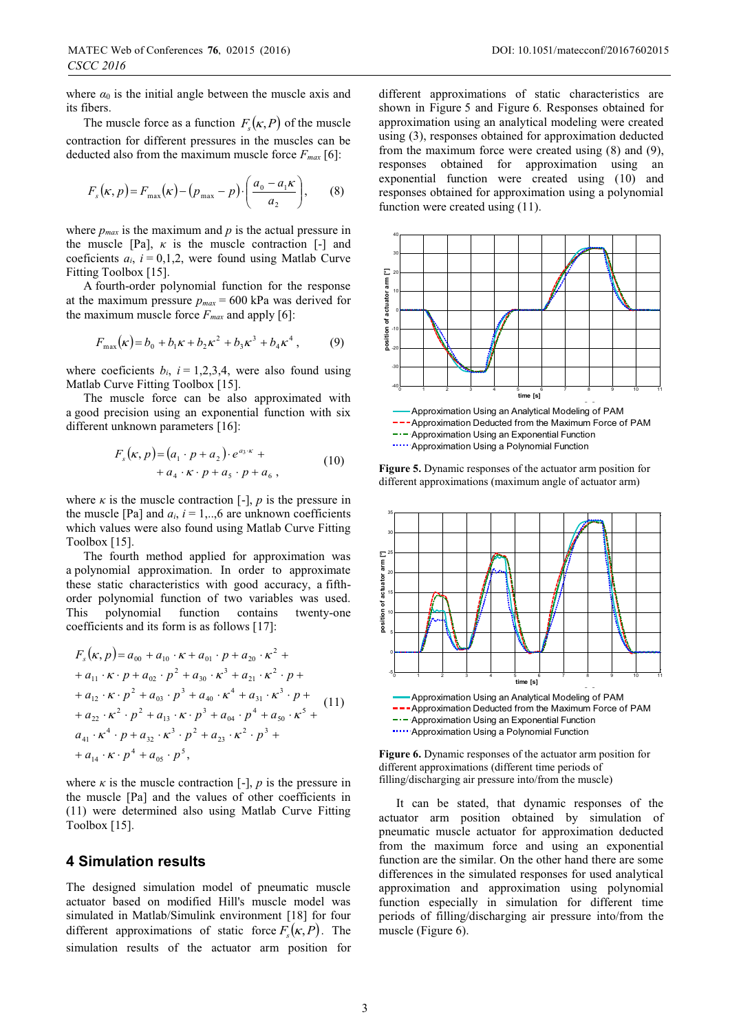where  $\alpha_0$  is the initial angle between the muscle axis and its fibers.

The muscle force as a function  $F_s(\kappa, P)$  of the muscle contraction for different pressures in the muscles can be deducted also from the maximum muscle force  $F_{max}$  [6]:

$$
F_s(\kappa, p) = F_{\text{max}}(\kappa) - (p_{\text{max}} - p) \cdot \left(\frac{a_0 - a_1 \kappa}{a_2}\right),\qquad(8)
$$

where  $p_{max}$  is the maximum and  $p$  is the actual pressure in the muscle [Pa],  $\kappa$  is the muscle contraction [-] and coeficients  $a_i$ ,  $i = 0,1,2$ , were found using Matlab Curve Fitting Toolbox [15].

A fourth-order polynomial function for the response at the maximum pressure  $p_{max} = 600$  kPa was derived for the maximum muscle force  $F_{max}$  and apply [6]:

$$
F_{\text{max}}(\kappa) = b_0 + b_1 \kappa + b_2 \kappa^2 + b_3 \kappa^3 + b_4 \kappa^4 , \qquad (9)
$$

where coeficients  $b_i$ ,  $i = 1,2,3,4$ , were also found using Matlab Curve Fitting Toolbox [15].

The muscle force can be also approximated with a good precision using an exponential function with six different unknown parameters [16]:

$$
F_s(\kappa, p) = (a_1 \cdot p + a_2) \cdot e^{a_3 \cdot \kappa} + + a_4 \cdot \kappa \cdot p + a_5 \cdot p + a_6,
$$
 (10)

where  $\kappa$  is the muscle contraction  $[-]$ ,  $p$  is the pressure in the muscle [Pa] and  $a_i$ ,  $i = 1, \ldots, 6$  are unknown coefficients which values were also found using Matlab Curve Fitting Toolbox [15].

The fourth method applied for approximation was a polynomial approximation. In order to approximate these static characteristics with good accuracy, a fifthorder polynomial function of two variables was used. This polynomial function contains twenty-one coefficients and its form is as follows [17]:

$$
F_s(\kappa, p) = a_{00} + a_{10} \cdot \kappa + a_{01} \cdot p + a_{20} \cdot \kappa^2 ++ a_{11} \cdot \kappa \cdot p + a_{02} \cdot p^2 + a_{30} \cdot \kappa^3 + a_{21} \cdot \kappa^2 \cdot p ++ a_{12} \cdot \kappa \cdot p^2 + a_{03} \cdot p^3 + a_{40} \cdot \kappa^4 + a_{31} \cdot \kappa^3 \cdot p ++ a_{22} \cdot \kappa^2 \cdot p^2 + a_{13} \cdot \kappa \cdot p^3 + a_{04} \cdot p^4 + a_{50} \cdot \kappa^5 +a_{41} \cdot \kappa^4 \cdot p + a_{32} \cdot \kappa^3 \cdot p^2 + a_{23} \cdot \kappa^2 \cdot p^3 ++ a_{14} \cdot \kappa \cdot p^4 + a_{05} \cdot p^5,
$$

where  $\kappa$  is the muscle contraction  $[-]$ ,  $p$  is the pressure in the muscle [Pa] and the values of other coefficients in (11) were determined also using Matlab Curve Fitting Toolbox [15].

## **4 Simulation results**

The designed simulation model of pneumatic muscle actuator based on modified Hill's muscle model was simulated in Matlab/Simulink environment [18] for four different approximations of static force  $F_s(\kappa, P)$ . The simulation results of the actuator arm position for

different approximations of static characteristics are shown in Figure 5 and Figure 6. Responses obtained for approximation using an analytical modeling were created using (3), responses obtained for approximation deducted from the maximum force were created using (8) and (9), responses obtained for approximation using an exponential function were created using (10) and responses obtained for approximation using a polynomial function were created using (11).



**Figure 5.** Dynamic responses of the actuator arm position for different approximations (maximum angle of actuator arm)



--- Approximation Deducted from the Maximum Force of PAM --- Approximation Using an Exponential Function ..... Approximation Using a Polynomial Function

**Figure 6.** Dynamic responses of the actuator arm position for different approximations (different time periods of filling/discharging air pressure into/from the muscle)

It can be stated, that dynamic responses of the actuator arm position obtained by simulation of pneumatic muscle actuator for approximation deducted from the maximum force and using an exponential function are the similar. On the other hand there are some differences in the simulated responses for used analytical approximation and approximation using polynomial function especially in simulation for different time periods of filling/discharging air pressure into/from the muscle (Figure 6).